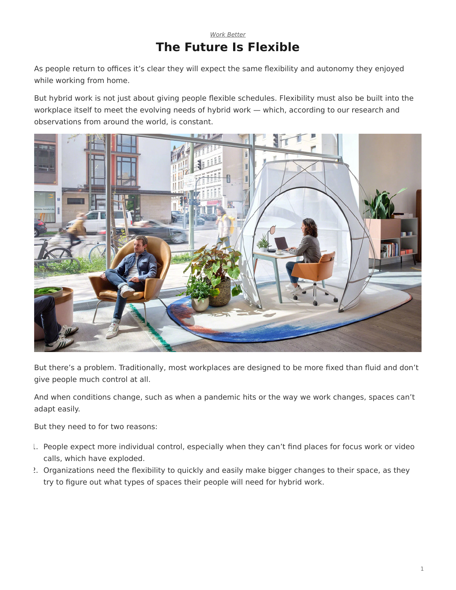## *[Work Better](https://www.steelcase.com/eu-en/research/topics/work-better/)* **The Future Is Flexible**

As people return to offices it's clear they will expect the same flexibility and autonomy they enjoyed while working from home.

But hybrid work is not just about giving people flexible schedules. Flexibility must also be built into the workplace itself to meet the evolving needs of hybrid work — which, according to our research and observations from around the world, is constant.



But there's a problem. Traditionally, most workplaces are designed to be more fixed than fluid and don't give people much control at all.

And when conditions change, such as when a pandemic hits or the way we work changes, spaces can't adapt easily.

But they need to for two reasons:

- 1. People expect more individual control, especially when they can't find places for focus work or video calls, which have exploded.
- 2. Organizations need the flexibility to quickly and easily make bigger changes to their space, as they try to figure out what types of spaces their people will need for hybrid work.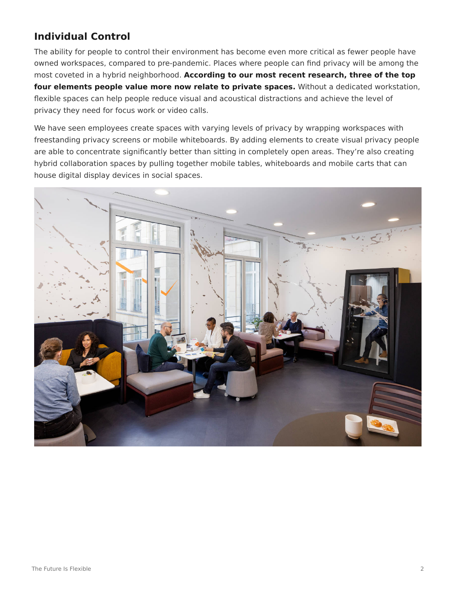# **Individual Control**

The ability for people to control their environment has become even more critical as fewer people have owned workspaces, compared to pre-pandemic. Places where people can find privacy will be among the most coveted in a hybrid neighborhood. **According to our most recent research, three of the top four elements people value more now relate to private spaces.** Without a dedicated workstation, flexible spaces can help people reduce visual and acoustical distractions and achieve the level of privacy they need for focus work or video calls.

We have seen employees create spaces with varying levels of privacy by wrapping workspaces with freestanding privacy screens or mobile whiteboards. By adding elements to create visual privacy people are able to concentrate significantly better than sitting in completely open areas. They're also creating hybrid collaboration spaces by pulling together mobile tables, whiteboards and mobile carts that can house digital display devices in social spaces.

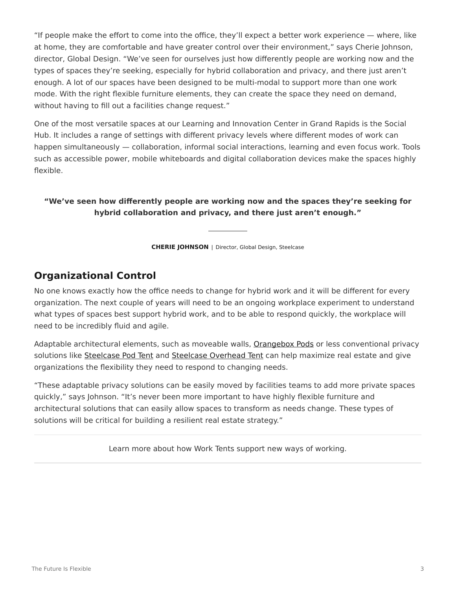"If people make the effort to come into the office, they'll expect a better work experience — where, like at home, they are comfortable and have greater control over their environment," says Cherie Johnson, director, Global Design. "We've seen for ourselves just how differently people are working now and the types of spaces they're seeking, especially for hybrid collaboration and privacy, and there just aren't enough. A lot of our spaces have been designed to be multi-modal to support more than one work mode. With the right flexible furniture elements, they can create the space they need on demand, without having to fill out a facilities change request."

One of the most versatile spaces at our Learning and Innovation Center in Grand Rapids is the Social Hub. It includes a range of settings with different privacy levels where different modes of work can happen simultaneously — collaboration, informal social interactions, learning and even focus work. Tools such as accessible power, mobile whiteboards and digital collaboration devices make the spaces highly flexible.

### **"We've seen how differently people are working now and the spaces they're seeking for hybrid collaboration and privacy, and there just aren't enough."**

**CHERIE JOHNSON** | Director, Global Design, Steelcase

# **Organizational Control**

No one knows exactly how the office needs to change for hybrid work and it will be different for every organization. The next couple of years will need to be an ongoing workplace experiment to understand what types of spaces best support hybrid work, and to be able to respond quickly, the workplace will need to be incredibly fluid and agile.

Adaptable architectural elements, such as moveable walls, [Orangebox Pods](https://www.steelcase.com/eu-en/brands/orangebox/)) or less conventional privacy solutions like [Steelcase Pod Tent](https://www.steelcase.com/eu-en/products/screens/pod-tent/) and [Steelcase Overhead Tent](https://www.steelcase.com/eu-en/products/screens/overhead-tent/) can help maximize real estate and give organizations the flexibility they need to respond to changing needs.

"These adaptable privacy solutions can be easily moved by facilities teams to add more private spaces quickly," says Johnson. "It's never been more important to have highly flexible furniture and architectural solutions that can easily allow spaces to transform as needs change. These types of solutions will be critical for building a resilient real estate strategy."

Learn more about how Work Tents support new ways of working.